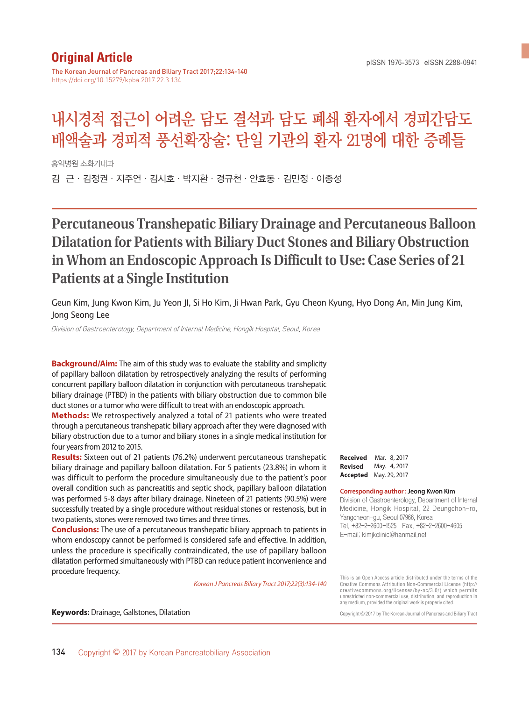## **Original Article**

The Korean Journal of Pancreas and Biliary Tract 2017;22:134-140 https://doi.org/10.15279/kpba.2017.22.3.134

# 내시경적 접근이 어려운 담도 결석과 담도 폐쇄 환자에서 경피간담도 배액술과 경피적 풍선확장술: 단일 기관의 환자 21명에 대한 증례들

홍익병원 소화기내과

김 근·김정권·지주연·김시호·박지환·경규천·안효동·김민정·이종성

## **Percutaneous Transhepatic Biliary Drainage and Percutaneous Balloon Dilatation for Patients with Biliary Duct Stones and Biliary Obstruction in Whom an Endoscopic Approach Is Difficult to Use: Case Series of 21 Patients at a Single Institution**

Geun Kim, Jung Kwon Kim, Ju Yeon JI, Si Ho Kim, Ji Hwan Park, Gyu Cheon Kyung, Hyo Dong An, Min Jung Kim, Jong Seong Lee

Division of Gastroenterology, Department of Internal Medicine, Hongik Hospital, Seoul, Korea

**Background/Aim:** The aim of this study was to evaluate the stability and simplicity of papillary balloon dilatation by retrospectively analyzing the results of performing concurrent papillary balloon dilatation in conjunction with percutaneous transhepatic biliary drainage (PTBD) in the patients with biliary obstruction due to common bile duct stones or a tumor who were difficult to treat with an endoscopic approach.

**Methods:** We retrospectively analyzed a total of 21 patients who were treated through a percutaneous transhepatic biliary approach after they were diagnosed with biliary obstruction due to a tumor and biliary stones in a single medical institution for four years from 2012 to 2015.

**Results:** Sixteen out of 21 patients (76.2%) underwent percutaneous transhepatic biliary drainage and papillary balloon dilatation. For 5 patients (23.8%) in whom it was difficult to perform the procedure simultaneously due to the patient's poor overall condition such as pancreatitis and septic shock, papillary balloon dilatation was performed 5-8 days after biliary drainage. Nineteen of 21 patients (90.5%) were successfully treated by a single procedure without residual stones or restenosis, but in two patients, stones were removed two times and three times.

**Conclusions:** The use of a percutaneous transhepatic biliary approach to patients in whom endoscopy cannot be performed is considered safe and effective. In addition, unless the procedure is specifically contraindicated, the use of papillary balloon dilatation performed simultaneously with PTBD can reduce patient inconvenience and procedure frequency.

*Korean J Pancreas Biliary Tract 2017;22(3):134-140*

**Received** Mar. 8, 2017 **Revised** May. 4, 2017 **Accepted** May. 29, 2017

#### **Corresponding author : Jeong Kwon Kim**

Division of Gastroenterology, Department of Internal Medicine, Hongik Hospital, 22 Deungchon-ro, Yangcheon-gu, Seoul 07966, Korea Tel. +82-2-2600-1525 Fax. +82-2-2600-4605 E-mail; kimjkclinic@hanmail.net

This is an Open Access article distributed under the terms of the Creative Commons Attribution Non-Commercial License (http:// creativecommons.org/licenses/by-nc/3.0/) which permits unrestricted non-commercial use, distribution, and reproduction in any medium, provided the original work is properly cited.

Copyright © 2017 by The Korean Journal of Pancreas and Biliary Tract

**Keywords:** Drainage, Gallstones, Dilatation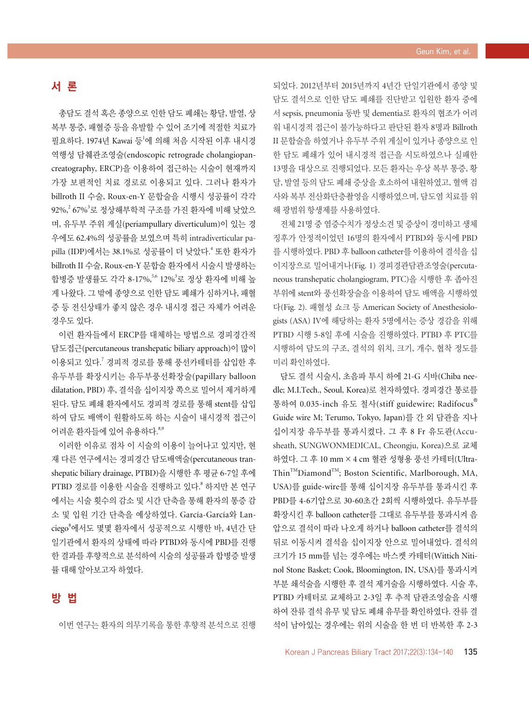## 서 론

총담도 결석 혹은 종양으로 인한 담도 폐쇄는 황달, 발열, 상 복부 통증, 패혈증 등을 유발할 수 있어 조기에 적절한 치료가 필요하다. 1974년 Kawai 등<sup>1</sup>에 의해 처음 시작된 이후 내시경 역행성 담췌관조영술(endoscopic retrograde cholangiopancreatography, ERCP)을 이용하여 접근하는 시술이 현재까지 가장 보편적인 치료 경로로 이용되고 있다. 그러나 환자가 billroth II 수술, Roux-en-Y 문합술을 시행시 성공률이 각각 92%, $^2$  67% $^3$ 로 정상해부학적 구조를 가진 환자에 비해 낮았으 며, 유두부 주위 게실(periampullary diverticulum)이 있는 경 우에도 62.4%의 성공률을 보였으며 특히 intradiverticular papilla (IDP)에서는 38.1%로 성공률이 더 낮았다. <sup>4</sup> 또한 환자가 billroth II 수술, Roux-en-Y 문합술 환자에서 시술시 발생하는 합병증 발생률도 각각 8-17%,<sup>5,6</sup> 12%<sup>3</sup>로 정상 환자에 비해 높 게 나왔다. 그 밖에 종양으로 인한 담도 폐쇄가 심하거나, 패혈 증 등 전신상태가 좋지 않은 경우 내시경 접근 자체가 어려운 경우도 있다.

이런 환자들에서 ERCP를 대체하는 방법으로 경피경간적 담도접근(percutaneous transhepatic biliary approach)이 많이 이용되고 있다. <sup>7</sup> 경피적 경로를 통해 풍선카테터를 삽입한 후 유두부를 확장시키는 유두부풍선확장술(papillary balloon dilatation, PBD) 후, 결석을 십이지장 쪽으로 밀어서 제거하게 된다. 담도 폐쇄 환자에서도 경피적 경로를 통해 stent를 삽입 하여 담도 배액이 원활하도록 하는 시술이 내시경적 접근이 어려운 환자들에 있어 유용하다. 8,9

이러한 이유로 점차 이 시술의 이용이 늘어나고 있지만, 현 재 다른 연구에서는 경피경간 담도배액술(percutaneous transhepatic biliary drainage, PTBD)을 시행한 후 평균 6-7일 후에 PTBD 경로를 이용한 시술을 진행하고 있다. <sup>8</sup> 하지만 본 연구 에서는 시술 횟수의 감소 및 시간 단축을 통해 환자의 통증 감 소 및 입원 기간 단축을 예상하였다. García-García와 Lanciego<sup>8</sup>에서도 몇몇 환자에서 성공적으로 시행한 바, 4년간 단 일기관에서 환자의 상태에 따라 PTBD와 동시에 PBD를 진행 한 결과를 후향적으로 분석하여 시술의 성공률과 합병증 발생 률 대해 알아보고자 하였다.

#### 방 법

이번 연구는 환자의 의무기록을 통한 후향적 분석으로 진행

되었다. 2012년부터 2015년까지 4년간 단일기관에서 종양 및 담도 결석으로 인한 담도 폐쇄를 진단받고 입원한 환자 중에 서 sepsis, pneumonia 동반 및 dementia로 환자의 협조가 어려 워 내시경적 접근이 불가능하다고 판단된 환자 8명과 Billroth II 문합술을 하였거나 유두부 주위 게실이 있거나 종양으로 인 한 담도 폐쇄가 있어 내시경적 접근을 시도하였으나 실패한 13명을 대상으로 진행되었다. 모든 환자는 우상 복부 통증, 황 달, 발열 등의 담도 폐쇄 증상을 호소하여 내원하였고, 혈액 검 사와 복부 전산화단층촬영을 시행하였으며, 담도염 치료를 위 해 광범위 항생제를 사용하였다.

전체 21명 중 염증수치가 정상소견 및 증상이 경미하고 생체 징후가 안정적이었던 16명의 환자에서 PTBD와 동시에 PBD 를 시행하였다. PBD 후 balloon catheter를 이용하여 결석을 십 이지장으로 밀어내거나(Fig. 1) 경피경관담관조영술(percutaneous transhepatic cholangiogram, PTC)을 시행한 후 좁아진 부위에 stent와 풍선확장술을 이용하여 담도 배액을 시행하였 다(Fig. 2). 패혈성 쇼크 등 American Society of Anesthesiologists (ASA) IV에 해당하는 환자 5명에서는 증상 경감을 위해 PTBD 시행 5-8일 후에 시술을 진행하였다. PTBD 후 PTC를 시행하여 담도의 구조, 결석의 위치, 크기, 개수, 협착 정도를 미리 확인하였다.

담도 결석 시술시, 초음파 투시 하에 21-G 시바(Chiba needle; M.I.Tech., Seoul, Korea)로 천자하였다. 경피경간 통로를 통하여 0.035-inch 유도 철사(stiff guidewire; Radifocus® Guide wire M; Terumo, Tokyo, Japan)를 간 외 담관을 지나 십이지장 유두부를 통과시켰다. 그 후 8 Fr 유도관(Accusheath, SUNGWONMEDICAL, Cheongju, Korea)으로 교체 하였다. 그 후 10 mm × 4 cm 혈관 성형용 풍선 카테터(Ultra-ThinTMDiamondTM; Boston Scientific, Marlborough, MA, USA)를 guide-wire를 통해 십이지장 유두부를 통과시킨 후 PBD를 4-6기압으로 30-60초간 2회씩 시행하였다. 유두부를 확장시킨 후 balloon catheter를 그대로 유두부를 통과시켜 음 압으로 결석이 따라 나오게 하거나 balloon catheter를 결석의 뒤로 이동시켜 결석을 십이지장 안으로 밀어내었다. 결석의 크기가 15 mm를 넘는 경우에는 바스켓 카테터(Wittich Nitinol Stone Basket; Cook, Bloomington, IN, USA)를 통과시켜 부분 쇄석술을 시행한 후 결석 제거술을 시행하였다. 시술 후, PTBD 카테터로 교체하고 2-3일 후 추적 담관조영술을 시행 하여 잔류 결석 유무 및 담도 폐쇄 유무를 확인하였다. 잔류 결 석이 남아있는 경우에는 위의 시술을 한 번 더 반복한 후 2-3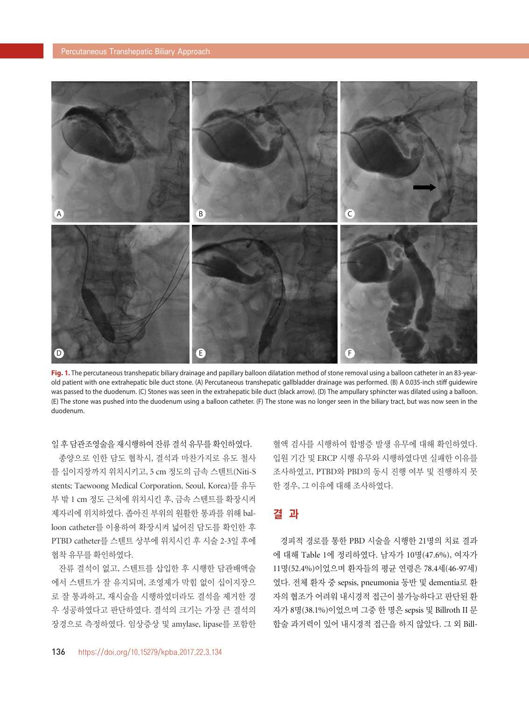

**Fig. 1.** The percutaneous transhepatic biliary drainage and papillary balloon dilatation method of stone removal using a balloon catheter in an 83-yearold patient with one extrahepatic bile duct stone. (A) Percutaneous transhepatic gallbladder drainage was performed. (B) A 0.035-inch stiff guidewire was passed to the duodenum. (C) Stones was seen in the extrahepatic bile duct (black arrow). (D) The ampullary sphincter was dilated using a balloon. (E) The stone was pushed into the duodenum using a balloon catheter. (F) The stone was no longer seen in the biliary tract, but was now seen in the duodenum.

일 후 담관조영술을 재시행하여 잔류 결석 유무를 확인하였다.

종양으로 인한 담도 협착시, 결석과 마찬가지로 유도 철사 를 십이지장까지 위치시키고, 5 cm 정도의 금속 스텐트(Niti-S stents; Taewoong Medical Corporation, Seoul, Korea)를 유두 부 밖 1 cm 정도 근처에 위치시킨 후, 금속 스텐트를 확장시켜 제자리에 위치하였다. 좁아진 부위의 원활한 통과를 위해 balloon catheter를 이용하여 확장시켜 넓어진 담도를 확인한 후 PTBD catheter를 스텐트 상부에 위치시킨 후 시술 2-3일 후에 협착 유무를 확인하였다.

잔류 결석이 없고, 스텐트를 삽입한 후 시행한 담관배액술 에서 스텐트가 잘 유지되며, 조영제가 막힘 없이 십이지장으 로 잘 통과하고, 재시술을 시행하였더라도 결석을 제거한 경 우 성공하였다고 판단하였다. 결석의 크기는 가장 큰 결석의 장경으로 측정하였다. 임상증상 및 amylase, lipase를 포함한 혈액 검사를 시행하여 합병증 발생 유무에 대해 확인하였다. 입원 기간 및 ERCP 시행 유무와 시행하였다면 실패한 이유를 조사하였고, PTBD와 PBD의 동시 진행 여부 및 진행하지 못 한 경우, 그 이유에 대해 조사하였다.

#### 결 과

경피적 경로를 통한 PBD 시술을 시행한 21명의 치료 결과 에 대해 Table 1에 정리하였다. 남자가 10명(47.6%), 여자가 11명(52.4%)이었으며 환자들의 평균 연령은 78.4세(46-97세) 였다. 전체 환자 중 sepsis, pneumonia 동반 및 dementia로 환 자의 협조가 어려워 내시경적 접근이 불가능하다고 판단된 환 자가 8명(38.1%)이었으며 그중 한 명은 sepsis 및 Billroth II 문 합술 과거력이 있어 내시경적 접근을 하지 않았다. 그 외 Bill-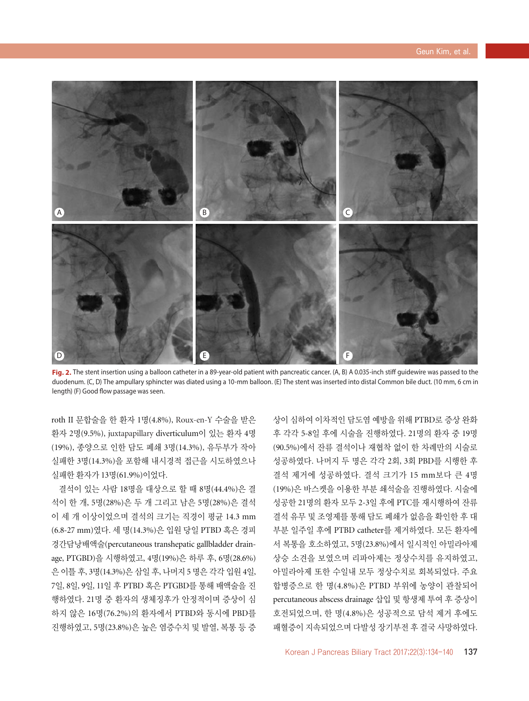

Fig. 2. The stent insertion using a balloon catheter in a 89-year-old patient with pancreatic cancer. (A, B) A 0.035-inch stiff guidewire was passed to the duodenum. (C, D) The ampullary sphincter was diated using a 10-mm balloon. (E) The stent was inserted into distal Common bile duct. (10 mm, 6 cm in length) (F) Good flow passage was seen.

roth II 문합술을 한 환자 1명(4.8%), Roux-en-Y 수술을 받은 환자 2명(9.5%), juxtapapillary diverticulum이 있는 환자 4명 (19%), 종양으로 인한 담도 폐쇄 3명(14.3%), 유두부가 작아 실패한 3명(14.3%)을 포함해 내시경적 접근을 시도하였으나 실패한 환자가 13명(61.9%)이었다.

결석이 있는 사람 18명을 대상으로 할 때 8명(44.4%)은 결 석이 한 개, 5명(28%)은 두 개 그리고 남은 5명(28%)은 결석 이 세 개 이상이었으며 결석의 크기는 직경이 평균 14.3 mm (6.8-27 mm)였다. 세 명(14.3%)은 입원 당일 PTBD 혹은 경피 경간담낭배액술(percutaneous transhepatic gallbladder drainage, PTGBD)을 시행하였고, 4명(19%)은 하루 후, 6명(28.6%) 은 이틀 후, 3명(14.3%)은 삼일 후, 나머지 5 명은 각각 입원 4일, 7일, 8일, 9일, 11일 후 PTBD 혹은 PTGBD를 통해 배액술을 진 행하였다. 21명 중 환자의 생체징후가 안정적이며 증상이 심 하지 않은 16명(76.2%)의 환자에서 PTBD와 동시에 PBD를 진행하였고, 5명(23.8%)은 높은 염증수치 및 발열, 복통 등 증

상이 심하여 이차적인 담도염 예방을 위해 PTBD로 증상 완화 후 각각 5-8일 후에 시술을 진행하였다. 21명의 환자 중 19명 (90.5%)에서 잔류 결석이나 재협착 없이 한 차례만의 시술로 성공하였다. 나머지 두 명은 각각 2회, 3회 PBD를 시행한 후 결석 제거에 성공하였다. 결석 크기가 15 mm보다 큰 4명 (19%)은 바스켓을 이용한 부분 쇄석술을 진행하였다. 시술에 성공한 21명의 환자 모두 2-3일 후에 PTC를 재시행하여 잔류 결석 유무 및 조영제를 통해 담도 폐쇄가 없음을 확인한 후 대 부분 일주일 후에 PTBD catheter를 제거하였다. 모든 환자에 서 복통을 호소하였고, 5명(23.8%)에서 일시적인 아밀라아제 상승 소견을 보였으며 리파아제는 정상수치를 유지하였고, 아밀라아제 또한 수일내 모두 정상수치로 회복되었다. 주요 합병증으로 한 명(4.8%)은 PTBD 부위에 농양이 관찰되어 percutaneous abscess drainage 삽입 및 항생제 투여 후 증상이 호전되었으며, 한 명(4.8%)은 성공적으로 담석 제거 후에도 패혈증이 지속되었으며 다발성 장기부전 후 결국 사망하였다.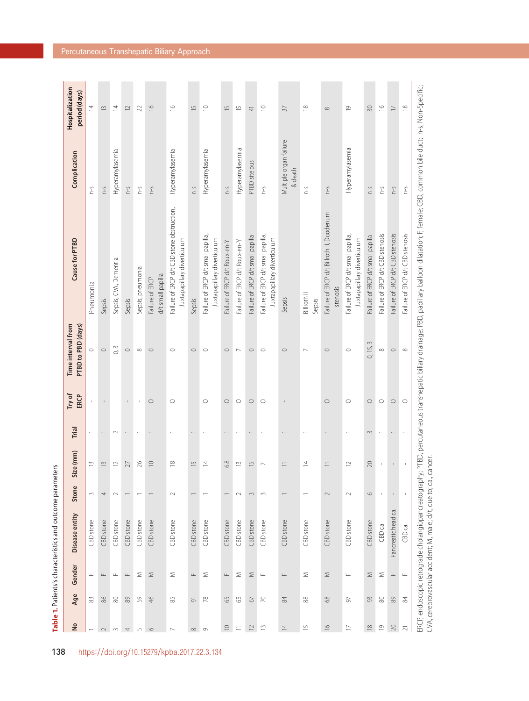| $\frac{1}{2}$            | Age            | Gender           | Disease entity        | Stone        | e (mm)<br>Siz            | Trial  | Try of<br>ERCP      | PTBD to PBD (days)<br>Time interval from | Cause for PTBD                                                            | Complication                      | Hospitalization<br>period (days) |
|--------------------------|----------------|------------------|-----------------------|--------------|--------------------------|--------|---------------------|------------------------------------------|---------------------------------------------------------------------------|-----------------------------------|----------------------------------|
|                          | 83             | $\sqcup\!\sqcup$ | CBD stone             | $\sim$       | 13                       |        |                     | $\circ$                                  | Pneumonia                                                                 | $\zeta$ -0                        | $\overline{4}$                   |
|                          | 86             | $\sqcup\!\sqcup$ | CBD stone             | 4            | $\widetilde{\Box}$       |        | $\mathbf{I}$        | $\circ$                                  | Sepsis                                                                    | $S-U$                             | $\widetilde{\Box}$               |
|                          | 80             | $\sqcup$         | CBD stone             | $\sim$       | $\approx$                | $\sim$ | $\,$                | 0, 3                                     | Sepsis, CVA, Dementia                                                     | Hyperamylasemia                   | $\overline{z}$                   |
|                          | 89             | $\frac{1}{2}$    | CBD stone             |              | 27                       |        | $\mathsf I$         | $\circ$                                  | Sepsis                                                                    | $S-U$                             | $\approx$                        |
|                          | 59             | Σ                | CBD stone             |              | 26                       |        | $\mathbf{I}$        | $\infty$                                 | Sepsis, pneumonia                                                         | $S-U$                             | 22                               |
|                          | 46             | $\geq$           | CBD stone             |              | $\supseteq$              |        | $\circlearrowright$ | $\circ$                                  | d/t small papilla<br>Failure of ERCP                                      | $S-U$                             | $\frac{\infty}{\infty}$          |
|                          | 85             | Σ                | CBD stone             | $\sim$       | $\approx$                |        | $\circ$             | $\circ$                                  | Failure of ERCP d/t CBD stone obstruction,<br>Juxtapapillary diverticulum | Hyperamylasemia                   | $\frac{6}{2}$                    |
|                          | $\overline{5}$ | $\frac{1}{2}$    | CBD stone             |              | $\overline{5}$           |        |                     | $\circ$                                  | Sepsis                                                                    | $S-U$                             | 凸                                |
|                          | $78$           | $\geq$           | CBD stone             |              | $\overline{4}$           |        | $\circ$             | $\circ$                                  | Failure of ERCP d/t small papilla,<br>Juxtapapillary diverticulum         | Hyperamylasemia                   | $\subseteq$                      |
| $\supseteq$              | 65             | $\frac{1}{2}$    | CBD stone             |              | 6.8                      |        | $\circ$             | $\circ$                                  | Failure of ERCP d/t Roux-en-Y                                             | $S-U$                             | $\overline{1}$                   |
|                          | 55             | Σ                | CBD stone             | $\sim$       | $\widetilde{\Box}$       |        | $\circ$             | $\sim$                                   | Failure of ERCP d/t Roux-en-Y                                             | Hyperamylasemia                   | $\overline{\mathbb{C}}$          |
| $\supseteq$              | $\sqrt{6}$     | $\leq$           | CBD stone             | $\sim$       | $\overline{5}$           |        | $\circ$             | $\circ$                                  | Failure of ERCP d/t small papilla                                         | PTBD site pus                     | $\overline{+}$                   |
| $\widetilde{\Box}$       | $\approx$      | $\sqcup$         | CBD stone             | $\sim$       | $\overline{\phantom{0}}$ |        | $\circ$             | $\circ$                                  | Failure of ERCP d/t small papilla,<br>Juxtapapillary diverticulum         | $\zeta$ -0                        | $\supseteq$                      |
| $\overline{4}$           | 84             | $\frac{1}{2}$    | CBD stone             |              | Ξ                        |        | $\mathbf I$         | $\circ$                                  | Sepsis                                                                    | Multiple organ failure<br>& death | $\sqrt{37}$                      |
| $\overline{\phantom{0}}$ | 88             | Σ                | CBD stone             |              | $\overline{4}$           |        | J.                  | $\overline{\phantom{0}}$                 | Billroth II<br>Sepsis                                                     | $S-U$                             | $\approx$                        |
| $\frac{\infty}{\infty}$  | 68             | ⋝                | CBD stone             | $\sim$       | $\equiv$                 |        | $\circ$             | $\circ$                                  | Failure of ERCP d/t Billroth II, Duodenum<br>stenosis                     | $S-U$                             | $\infty$                         |
| $\Box$                   | 57             | $\sqcup\!\sqcup$ | CBD stone             | $\sim$       | $\approx$                |        | $\circ$             | $\circ$                                  | Failure of ERCP d/t small papilla,<br>Juxtapapillary diverticulum         | Hyperamylasemia                   | $\overline{0}$                   |
| $\approx$                | 93             | $\geq$           | CBD stone             | $\circ$      | $20$                     | 3      | $\circ$             | 0, 15, 3                                 | Failure of ERCP d/t small papilla                                         | $S-U$                             | 30                               |
| $\overline{0}$           | 80             | Σ                | CBD <sub>Ca</sub>     | $\mathbf{I}$ | $\mathsf{I}$             |        | $\circ$             | $\infty$                                 | Failure of ERCP d/t CBD stenosis                                          | Ω-U                               | $\frac{\circ}{\circ}$            |
| $20\,$                   | 89             | $\frac{1}{2}$    | ල්<br>Pancreatic head |              |                          |        | $\circ$             | $\circ$                                  | Failure of ERCP d/t CBD stenosis                                          | $S-U$                             | $\Box$                           |
|                          | $\frac{8}{4}$  | $\sqcup$         | CBD ca.               | $\mathbf{I}$ |                          |        | $\circ$             | $\infty$                                 | Failure of ERCP d/t CBD stenosis                                          | $S-U$                             | $\approx$                        |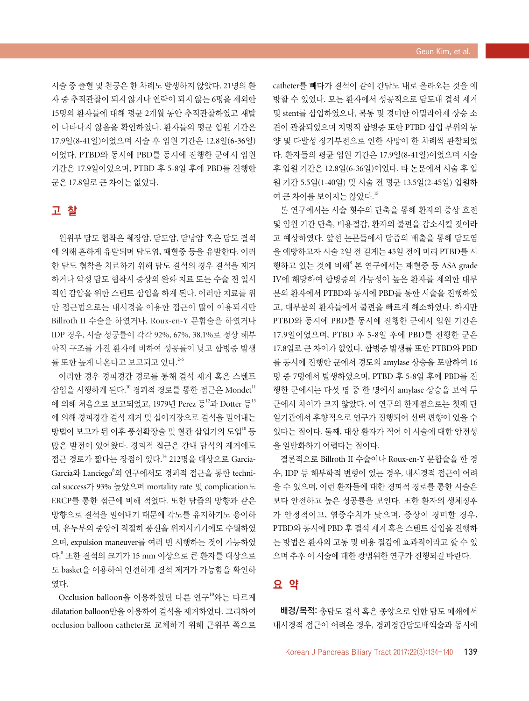시술 중 출혈 및 천공은 한 차례도 발생하지 않았다. 21명의 환 자 중 추적관찰이 되지 않거나 연락이 되지 않는 6명을 제외한 15명의 환자들에 대해 평균 2개월 동안 추적관찰하였고 재발 이 나타나지 않음을 확인하였다. 환자들의 평균 입원 기간은 17.9일(8-41일)이었으며 시술 후 입원 기간은 12.8일(6-36일) 이었다. PTBD와 동시에 PBD를 동시에 진행한 군에서 입원 기간은 17.9일이었으며, PTBD 후 5-8일 후에 PBD를 진행한 군은 17.8일로 큰 차이는 없었다.

#### 고 찰

원위부 담도 협착은 췌장암, 담도암, 담낭암 혹은 담도 결석 에 의해 흔하게 유발되며 담도염, 패혈증 등을 유발한다. 이러 한 담도 협착을 치료하기 위해 담도 결석의 경우 결석을 제거 하거나 악성 담도 협착시 증상의 완화 치료 또는 수술 전 일시 적인 감압을 위한 스텐트 삽입을 하게 된다. 이러한 치료를 위 한 접근법으로는 내시경을 이용한 접근이 많이 이용되지만 Billroth II 수술을 하였거나, Roux-en-Y 문합술을 하였거나 IDP 경우, 시술 성공률이 각각 92%, 67%, 38.1%로 정상 해부 학적 구조를 가진 환자에 비하여 성공률이 낮고 합병증 발생 률 또한 높게 나온다고 보고되고 있다. 2-6

이러한 경우 경피경간 경로를 통해 결석 제거 혹은 스텐트 삽입을 시행하게 된다." 경피적 경로를 통한 접근은 Mondet<sup>11</sup> 에 의해 처음으로 보고되었고, 1979년 Perez 등 $^{12}$ 과 Dotter 등 $^{13}$ 에 의해 경피경간 결석 제거 및 십이지장으로 결석을 밀어내는 방법이 보고가 된 이후 풍선확장술 및 혈관 삽입기의 도입<sup>10</sup> 등 많은 발전이 있어왔다. 경피적 접근은 간내 담석의 제거에도 접근 경로가 짧다는 장점이 있다. 14 212명을 대상으로 García-García와 Lanciego<sup>8</sup>의 연구에서도 경피적 접근을 통한 technical success가 93% 높았으며 mortality rate 및 complication도 ERCP를 통한 접근에 비해 적었다. 또한 담즙의 방향과 같은 방향으로 결석을 밀어내기 때문에 각도를 유지하기도 용이하 며, 유두부의 중앙에 적절히 풍선을 위치시키기에도 수월하였 으며, expulsion maneuver를 여러 번 시행하는 것이 가능하였 다. <sup>8</sup> 또한 결석의 크기가 15 mm 이상으로 큰 환자를 대상으로 도 basket을 이용하여 안전하게 결석 제거가 가능함을 확인하 였다.

Occlusion balloon을 이용하였던 다른 연구<sup>10</sup>와는 다르게 dilatation balloon만을 이용하여 결석을 제거하였다. 그리하여 occlusion balloon catheter로 교체하기 위해 근위부 쪽으로 catheter를 빼다가 결석이 같이 간담도 내로 올라오는 것을 예 방할 수 있었다. 모든 환자에서 성공적으로 담도내 결석 제거 및 stent를 삽입하였으나, 복통 및 경미한 아밀라아제 상승 소 견이 관찰되었으며 치명적 합병증 또한 PTBD 삽입 부위의 농 양 및 다발성 장기부전으로 인한 사망이 한 차례씩 관찰되었 다. 환자들의 평균 입원 기간은 17.9일(8-41일)이었으며 시술 후 입원 기간은 12.8일(6-36일)이었다. 타 논문에서 시술 후 입 원 기간 5.5일(1-40일) 및 시술 전 평균 13.5일(2-45일) 입원하 여 큰 차이를 보이지는 않았다.<sup>15</sup>

본 연구에서는 시술 횟수의 단축을 통해 환자의 증상 호전 및 입원 기간 단축, 비용절감, 환자의 불편을 감소시킬 것이라 고 예상하였다. 앞선 논문들에서 담즙의 배출을 통해 담도염 을 예방하고자 시술 2일 전 길게는 45일 전에 미리 PTBD를 시 행하고 있는 것에 비해 $^8$  본 연구에서는 패혈증 등 ASA grade IV에 해당하여 합병증의 가능성이 높은 환자를 제외한 대부 분의 환자에서 PTBD와 동시에 PBD를 통한 시술을 진행하였 고, 대부분의 환자들에서 불편을 빠르게 해소하였다. 하지만 PTBD와 동시에 PBD를 동시에 진행한 군에서 입원 기간은 17.9일이었으며, PTBD 후 5-8일 후에 PBD를 진행한 군은 17.8일로 큰 차이가 없었다. 합병증 발생률 또한 PTBD와 PBD 를 동시에 진행한 군에서 경도의 amylase 상승을 포함하여 16 명 중 7명에서 발생하였으며, PTBD 후 5-8일 후에 PBD를 진 행한 군에서는 다섯 명 중 한 명에서 amylase 상승을 보여 두 군에서 차이가 크지 않았다. 이 연구의 한계점으로는 첫째 단 일기관에서 후향적으로 연구가 진행되어 선택 편향이 있을 수 있다는 점이다. 둘째, 대상 환자가 적어 이 시술에 대한 안전성 을 일반화하기 어렵다는 점이다.

결론적으로 Billroth II 수술이나 Roux-en-Y 문합술을 한 경 우, IDP 등 해부학적 변형이 있는 경우, 내시경적 접근이 어려 울 수 있으며, 이런 환자들에 대한 경피적 경로를 통한 시술은 보다 안전하고 높은 성공률을 보인다. 또한 환자의 생체징후 가 안정적이고, 염증수치가 낮으며, 증상이 경미할 경우, PTBD와 동시에 PBD 후 결석 제거 혹은 스텐트 삽입을 진행하 는 방법은 환자의 고통 및 비용 절감에 효과적이라고 할 수 있 으며 추후 이 시술에 대한 광범위한 연구가 진행되길 바란다.

#### 요 약

배경/목적: 총담도 결석 혹은 종양으로 인한 담도 폐쇄에서 내시경적 접근이 어려운 경우, 경피경간담도배액술과 동시에